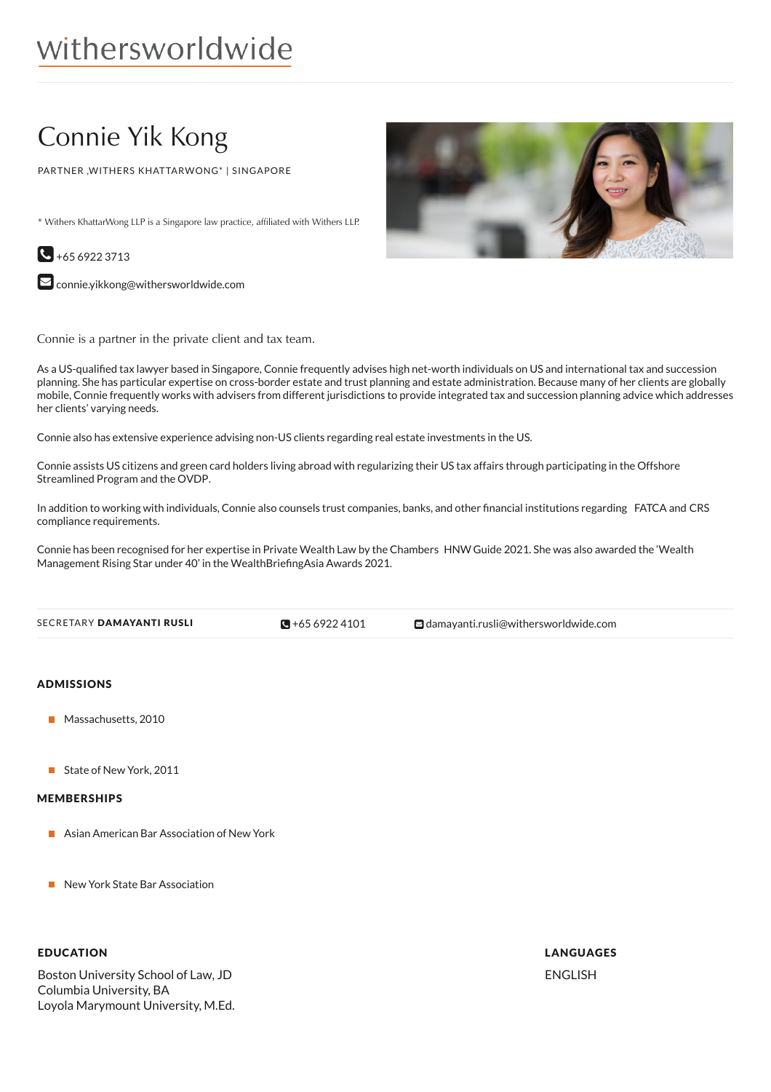# withersworldwide

## Connie Yik Kong

PARTNER ,WITHERS KHATTARWONG\* | SINGAPORE

\* Withers KhattarWong LLP is a Singapore law practice, affiliated with Withers LLP.



 $\square$  [connie.yikkong@withersworldwide.com](mailto:connie.yikkong@withersworldwide.com?subject=Website Enquiry - Profile Page)

Connie is a partner in the private client and tax team.

As a US-qualified tax lawyer based in Singapore, Connie frequently advises high net-worth individuals on US and international tax and succession planning. She has particular expertise on cross-border estate and trust planning and estate administration. Because many of her clients are globally mobile, Connie frequently works with advisers from different jurisdictions to provide integrated tax and succession planning advice which addresses her clients' varying needs.

Connie also has extensive experience advising non-US clients regarding real estate investments in the US.

Connie assists US citizens and green card holders living abroad with regularizing their US tax affairs through participating in the Offshore Streamlined Program and the OVDP.

In addition to working with individuals, Connie also counsels trust companies, banks, and other financial institutions regarding FATCA and CRS compliance requirements.

Connie has been recognised for her expertise in Private Wealth Law by the Chambers HNW Guide 2021. She was also awarded the 'Wealth Management Rising Star under 40' in the WealthBriefingAsia Awards 2021.

 $\blacksquare$  +65 6922 4101

**E**[damayanti.rusli@withersworldwide.com](mailto:damayanti.rusli@withersworldwide.com)

#### ADMISSIONS

- Massachusetts, 2010
- State of New York, 2011

#### MEMBERSHIPS

- Asian American Bar Association of New York
- New York State Bar Association

#### EDUCATION

Boston University School of Law, JD Columbia University, BA Loyola Marymount University, M.Ed.



## LANGUAGES ENGLISH